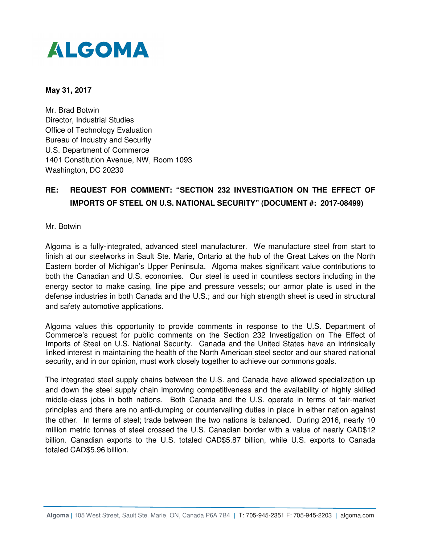## **ALGOMA**

## **May 31, 2017**

Mr. Brad Botwin Director, Industrial Studies Office of Technology Evaluation Bureau of Industry and Security U.S. Department of Commerce 1401 Constitution Avenue, NW, Room 1093 Washington, DC 20230

## **RE: REQUEST FOR COMMENT: "SECTION 232 INVESTIGATION ON THE EFFECT OF IMPORTS OF STEEL ON U.S. NATIONAL SECURITY" (DOCUMENT #: 2017-08499)**

Mr. Botwin

Algoma is a fully-integrated, advanced steel manufacturer. We manufacture steel from start to finish at our steelworks in Sault Ste. Marie, Ontario at the hub of the Great Lakes on the North Eastern border of Michigan's Upper Peninsula. Algoma makes significant value contributions to both the Canadian and U.S. economies. Our steel is used in countless sectors including in the energy sector to make casing, line pipe and pressure vessels; our armor plate is used in the defense industries in both Canada and the U.S.; and our high strength sheet is used in structural and safety automotive applications.

Algoma values this opportunity to provide comments in response to the U.S. Department of Commerce's request for public comments on the Section 232 Investigation on The Effect of Imports of Steel on U.S. National Security. Canada and the United States have an intrinsically linked interest in maintaining the health of the North American steel sector and our shared national security, and in our opinion, must work closely together to achieve our commons goals.

The integrated steel supply chains between the U.S. and Canada have allowed specialization up and down the steel supply chain improving competitiveness and the availability of highly skilled middle-class jobs in both nations. Both Canada and the U.S. operate in terms of fair-market principles and there are no anti-dumping or countervailing duties in place in either nation against the other. In terms of steel; trade between the two nations is balanced. During 2016, nearly 10 million metric tonnes of steel crossed the U.S. Canadian border with a value of nearly CAD\$12 billion. Canadian exports to the U.S. totaled CAD\$5.87 billion, while U.S. exports to Canada totaled CAD\$5.96 billion.